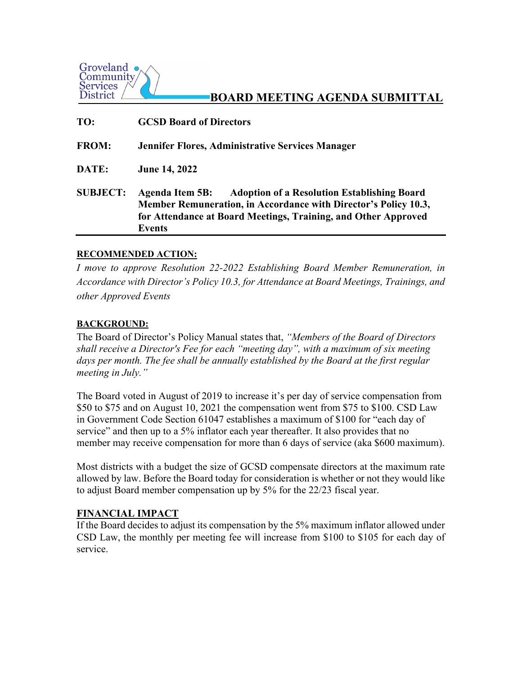

# **BOARD MEETING AGENDA SUBMITTAL**

| TO:             | <b>GCSD Board of Directors</b>                                                                                                                                                                                              |
|-----------------|-----------------------------------------------------------------------------------------------------------------------------------------------------------------------------------------------------------------------------|
| <b>FROM:</b>    | <b>Jennifer Flores, Administrative Services Manager</b>                                                                                                                                                                     |
| DATE:           | <b>June 14, 2022</b>                                                                                                                                                                                                        |
| <b>SUBJECT:</b> | <b>Agenda Item 5B:</b><br><b>Adoption of a Resolution Establishing Board</b><br>Member Remuneration, in Accordance with Director's Policy 10.3,<br>for Attendance at Board Meetings, Training, and Other Approved<br>Events |

### **RECOMMENDED ACTION:**

*I move to approve Resolution 22-2022 Establishing Board Member Remuneration, in Accordance with Director's Policy 10.3, for Attendance at Board Meetings, Trainings, and other Approved Events*

### **BACKGROUND:**

The Board of Director's Policy Manual states that, *"Members of the Board of Directors shall receive a Director's Fee for each "meeting day", with a maximum of six meeting*  days per month. The fee shall be annually established by the Board at the first regular *meeting in July."* 

The Board voted in August of 2019 to increase it's per day of service compensation from \$50 to \$75 and on August 10, 2021 the compensation went from \$75 to \$100. CSD Law in Government Code Section 61047 establishes a maximum of \$100 for "each day of service" and then up to a 5% inflator each year thereafter. It also provides that no member may receive compensation for more than 6 days of service (aka \$600 maximum).

Most districts with a budget the size of GCSD compensate directors at the maximum rate allowed by law. Before the Board today for consideration is whether or not they would like to adjust Board member compensation up by 5% for the 22/23 fiscal year.

#### **FINANCIAL IMPACT**

If the Board decides to adjust its compensation by the 5% maximum inflator allowed under CSD Law, the monthly per meeting fee will increase from \$100 to \$105 for each day of service.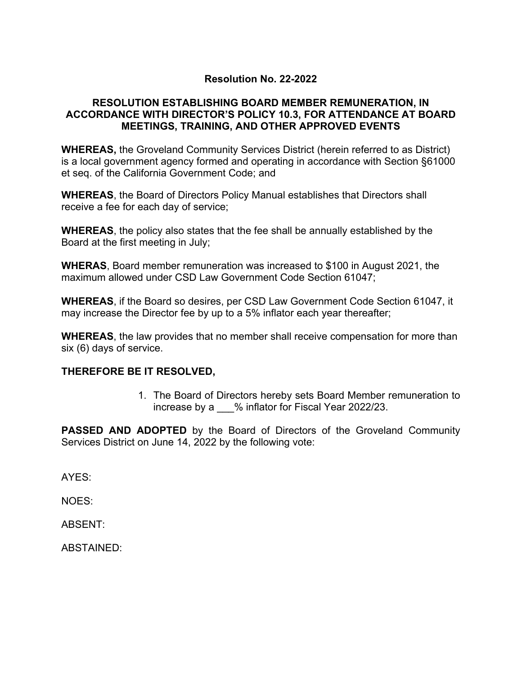# **Resolution No. 22-2022**

# **RESOLUTION ESTABLISHING BOARD MEMBER REMUNERATION, IN ACCORDANCE WITH DIRECTOR'S POLICY 10.3, FOR ATTENDANCE AT BOARD MEETINGS, TRAINING, AND OTHER APPROVED EVENTS**

**WHEREAS,** the Groveland Community Services District (herein referred to as District) is a local government agency formed and operating in accordance with Section §61000 et seq. of the California Government Code; and

**WHEREAS**, the Board of Directors Policy Manual establishes that Directors shall receive a fee for each day of service;

**WHEREAS**, the policy also states that the fee shall be annually established by the Board at the first meeting in July;

**WHERAS**, Board member remuneration was increased to \$100 in August 2021, the maximum allowed under CSD Law Government Code Section 61047;

**WHEREAS**, if the Board so desires, per CSD Law Government Code Section 61047, it may increase the Director fee by up to a 5% inflator each year thereafter;

**WHEREAS**, the law provides that no member shall receive compensation for more than six (6) days of service.

## **THEREFORE BE IT RESOLVED,**

1. The Board of Directors hereby sets Board Member remuneration to increase by a \_\_\_% inflator for Fiscal Year 2022/23.

**PASSED AND ADOPTED** by the Board of Directors of the Groveland Community Services District on June 14, 2022 by the following vote:

AYES:

NOES:

ABSENT:

ABSTAINED: